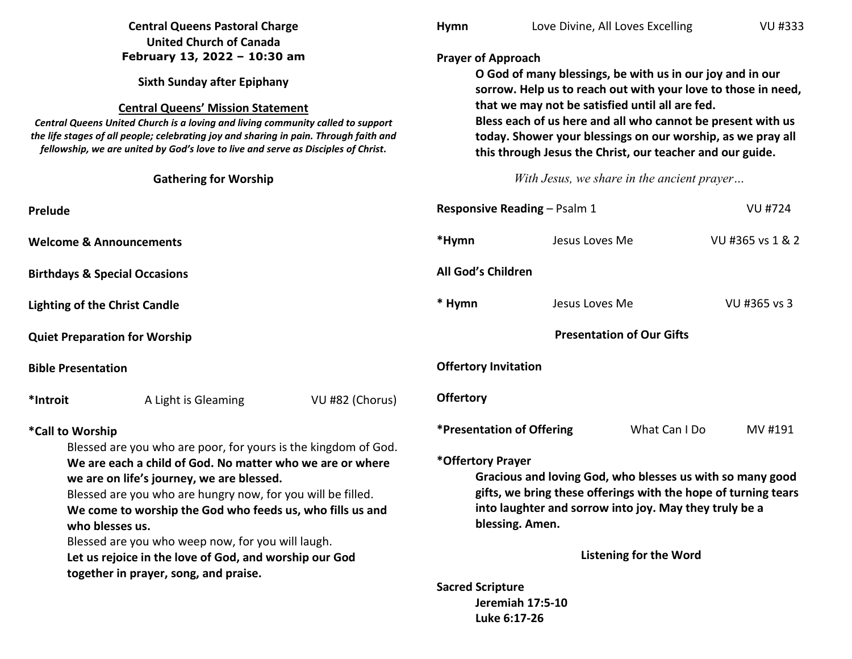| <b>Central Queens Pastoral Charge</b><br><b>United Church of Canada</b><br>February 13, 2022 - 10:30 am<br><b>Sixth Sunday after Epiphany</b><br><b>Central Queens' Mission Statement</b><br>Central Queens United Church is a loving and living community called to support<br>the life stages of all people; celebrating joy and sharing in pain. Through faith and<br>fellowship, we are united by God's love to live and serve as Disciples of Christ. |                                          | <b>Hymn</b>                                                                                                                                                                                                                                                                                                                                                                                           | Love Divine, All Loves Excelling                                                                                                                                                                                                                                                                                                      |                                            | <b>VU #333</b> |                  |
|------------------------------------------------------------------------------------------------------------------------------------------------------------------------------------------------------------------------------------------------------------------------------------------------------------------------------------------------------------------------------------------------------------------------------------------------------------|------------------------------------------|-------------------------------------------------------------------------------------------------------------------------------------------------------------------------------------------------------------------------------------------------------------------------------------------------------------------------------------------------------------------------------------------------------|---------------------------------------------------------------------------------------------------------------------------------------------------------------------------------------------------------------------------------------------------------------------------------------------------------------------------------------|--------------------------------------------|----------------|------------------|
|                                                                                                                                                                                                                                                                                                                                                                                                                                                            |                                          |                                                                                                                                                                                                                                                                                                                                                                                                       |                                                                                                                                                                                                                                                                                                                                       |                                            |                |                  |
|                                                                                                                                                                                                                                                                                                                                                                                                                                                            |                                          | <b>Prayer of Approach</b><br>O God of many blessings, be with us in our joy and in our<br>sorrow. Help us to reach out with your love to those in need,<br>that we may not be satisfied until all are fed.<br>Bless each of us here and all who cannot be present with us<br>today. Shower your blessings on our worship, as we pray all<br>this through Jesus the Christ, our teacher and our guide. |                                                                                                                                                                                                                                                                                                                                       |                                            |                |                  |
|                                                                                                                                                                                                                                                                                                                                                                                                                                                            | <b>Gathering for Worship</b>             |                                                                                                                                                                                                                                                                                                                                                                                                       |                                                                                                                                                                                                                                                                                                                                       | With Jesus, we share in the ancient prayer |                |                  |
| Prelude                                                                                                                                                                                                                                                                                                                                                                                                                                                    |                                          |                                                                                                                                                                                                                                                                                                                                                                                                       | <b>Responsive Reading - Psalm 1</b>                                                                                                                                                                                                                                                                                                   |                                            |                | <b>VU #724</b>   |
| <b>Welcome &amp; Announcements</b>                                                                                                                                                                                                                                                                                                                                                                                                                         |                                          |                                                                                                                                                                                                                                                                                                                                                                                                       | *Hymn                                                                                                                                                                                                                                                                                                                                 | Jesus Loves Me                             |                | VU #365 vs 1 & 2 |
|                                                                                                                                                                                                                                                                                                                                                                                                                                                            | <b>Birthdays &amp; Special Occasions</b> |                                                                                                                                                                                                                                                                                                                                                                                                       | All God's Children                                                                                                                                                                                                                                                                                                                    |                                            |                |                  |
|                                                                                                                                                                                                                                                                                                                                                                                                                                                            | <b>Lighting of the Christ Candle</b>     |                                                                                                                                                                                                                                                                                                                                                                                                       | * Hymn                                                                                                                                                                                                                                                                                                                                | Jesus Loves Me                             |                | VU #365 vs 3     |
| <b>Quiet Preparation for Worship</b>                                                                                                                                                                                                                                                                                                                                                                                                                       |                                          |                                                                                                                                                                                                                                                                                                                                                                                                       | <b>Presentation of Our Gifts</b>                                                                                                                                                                                                                                                                                                      |                                            |                |                  |
| <b>Bible Presentation</b>                                                                                                                                                                                                                                                                                                                                                                                                                                  |                                          |                                                                                                                                                                                                                                                                                                                                                                                                       | <b>Offertory Invitation</b>                                                                                                                                                                                                                                                                                                           |                                            |                |                  |
| *Introit                                                                                                                                                                                                                                                                                                                                                                                                                                                   | A Light is Gleaming                      | VU #82 (Chorus)                                                                                                                                                                                                                                                                                                                                                                                       | <b>Offertory</b>                                                                                                                                                                                                                                                                                                                      |                                            |                |                  |
| *Call to Worship<br>Blessed are you who are poor, for yours is the kingdom of God.<br>We are each a child of God. No matter who we are or where<br>we are on life's journey, we are blessed.<br>Blessed are you who are hungry now, for you will be filled.<br>We come to worship the God who feeds us, who fills us and<br>who blesses us.<br>Blessed are you who weep now, for you will laugh.<br>Let us rejoice in the love of God, and worship our God |                                          |                                                                                                                                                                                                                                                                                                                                                                                                       | <i><b>*Presentation of Offering</b></i><br>What Can I Do<br>MV #191<br>*Offertory Prayer<br>Gracious and loving God, who blesses us with so many good<br>gifts, we bring these offerings with the hope of turning tears<br>into laughter and sorrow into joy. May they truly be a<br>blessing. Amen.<br><b>Listening for the Word</b> |                                            |                |                  |
|                                                                                                                                                                                                                                                                                                                                                                                                                                                            |                                          |                                                                                                                                                                                                                                                                                                                                                                                                       |                                                                                                                                                                                                                                                                                                                                       |                                            |                |                  |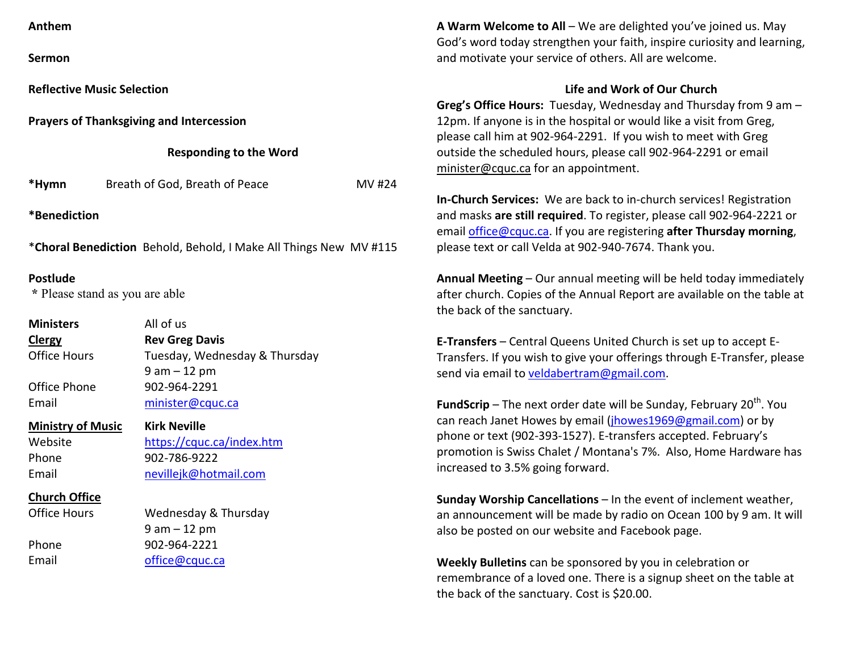| Anthem |
|--------|
|--------|

**Sermon** 

**Reflective Music Selection** 

**Prayers of Thanksgiving and Intercession** 

#### **Responding to the Word**

| *Hymn | Breath of God, Breath of Peace | MV #24 |
|-------|--------------------------------|--------|
|-------|--------------------------------|--------|

**\*Benediction** 

\***Choral Benediction** Behold, Behold, I Make All Things New MV #115

## **Postlude**

 **\*** Please stand as you are able

| <b>Ministers</b>         | All of us                     |  |  |  |
|--------------------------|-------------------------------|--|--|--|
| <b>Clergy</b>            | <b>Rev Greg Davis</b>         |  |  |  |
| <b>Office Hours</b>      | Tuesday, Wednesday & Thursday |  |  |  |
|                          | $9$ am $-12$ pm               |  |  |  |
| Office Phone             | 902-964-2291                  |  |  |  |
| Email                    | minister@cquc.ca              |  |  |  |
| <b>Ministry of Music</b> | <b>Kirk Neville</b>           |  |  |  |

Website <u>https://cquc.ca/index.htm</u> Phone 902-786-9222 Email nevillejk@hotmail.com

### **Church Office**

| Wednesday & Thursday |
|----------------------|
| $9$ am $-12$ pm      |
| 902-964-2221         |
| office@cquc.ca       |
|                      |

**A Warm Welcome to All** – We are delighted you've joined us. May God's word today strengthen your faith, inspire curiosity and learning, and motivate your service of others. All are welcome.

# **Life and Work of Our Church**

**Greg's Office Hours:** Tuesday, Wednesday and Thursday from 9 am – 12pm. If anyone is in the hospital or would like a visit from Greg, please call him at 902-964-2291. If you wish to meet with Greg outside the scheduled hours, please call 902-964-2291 or email minister@cquc.ca for an appointment.

**In-Church Services:** We are back to in-church services! Registration and masks **are still required**. To register, please call 902-964-2221 or email office@cquc.ca. If you are registering **after Thursday morning**, please text or call Velda at 902-940-7674. Thank you.

**Annual Meeting** – Our annual meeting will be held today immediately after church. Copies of the Annual Report are available on the table at the back of the sanctuary.

**E-Transfers** – Central Queens United Church is set up to accept E-Transfers. If you wish to give your offerings through E-Transfer, please send via email to veldabertram@gmail.com.

**FundScrip** – The next order date will be Sunday, February 20<sup>th</sup>. You can reach Janet Howes by email (jhowes1969@gmail.com) or by phone or text (902-393-1527). E-transfers accepted. February's promotion is Swiss Chalet / Montana's 7%. Also, Home Hardware has increased to 3.5% going forward.

**Sunday Worship Cancellations** – In the event of inclement weather, an announcement will be made by radio on Ocean 100 by 9 am. It will also be posted on our website and Facebook page.

**Weekly Bulletins** can be sponsored by you in celebration or remembrance of a loved one. There is a signup sheet on the table at the back of the sanctuary. Cost is \$20.00.